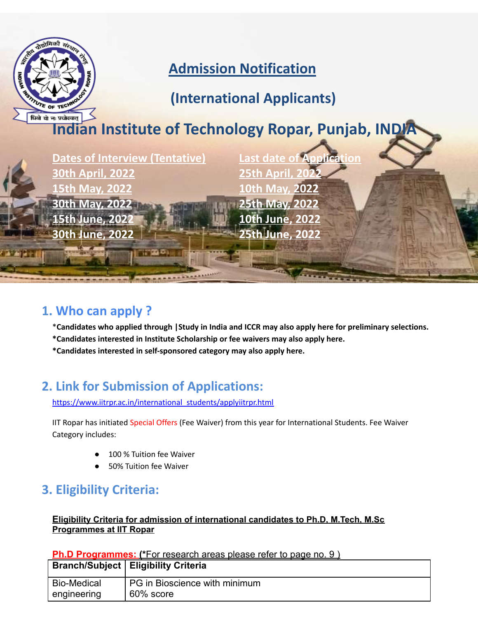

### **1. Who can apply ?**

\***Candidates who applied through |Study in India and ICCR may also apply here for preliminary selections.**

**\*Candidates interested in Institute Scholarship or fee waivers may also apply here.**

**\*Candidates interested in self-sponsored category may also apply here.**

# **2. Link for Submission of Applications:**

[https://www.iitrpr.ac.in/international\\_students/applyiitrpr.html](https://www.iitrpr.ac.in/international_students/applyiitrpr.html)

IIT Ropar has initiated Special Offers (Fee Waiver) from this year for International Students. Fee Waiver Category includes:

- 100 % Tuition fee Waiver
- 50% Tuition fee Waiver

# **3. Eligibility Criteria:**

#### **Eligibility Criteria for admission of international candidates to Ph.D, M.Tech, M.Sc Programmes at IIT Ropar**

**Ph.D Programmes: (\***For research areas please refer to page no. 9 )

|                    | <b>Branch/Subject   Eligibility Criteria</b> |
|--------------------|----------------------------------------------|
| <b>Bio-Medical</b> | PG in Bioscience with minimum                |
| engineering        | 60% score                                    |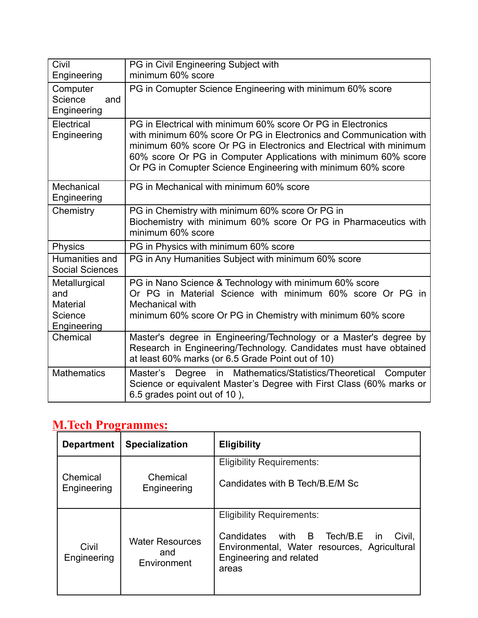| Civil<br>Engineering                                              | PG in Civil Engineering Subject with<br>minimum 60% score                                                                                                                                                                                                                                                                                   |
|-------------------------------------------------------------------|---------------------------------------------------------------------------------------------------------------------------------------------------------------------------------------------------------------------------------------------------------------------------------------------------------------------------------------------|
| Computer<br>Science<br>and<br>Engineering                         | PG in Comupter Science Engineering with minimum 60% score                                                                                                                                                                                                                                                                                   |
| Electrical<br>Engineering                                         | PG in Electrical with minimum 60% score Or PG in Electronics<br>with minimum 60% score Or PG in Electronics and Communication with<br>minimum 60% score Or PG in Electronics and Electrical with minimum<br>60% score Or PG in Computer Applications with minimum 60% score<br>Or PG in Comupter Science Engineering with minimum 60% score |
| Mechanical<br>Engineering                                         | PG in Mechanical with minimum 60% score                                                                                                                                                                                                                                                                                                     |
| Chemistry                                                         | PG in Chemistry with minimum 60% score Or PG in<br>Biochemistry with minimum 60% score Or PG in Pharmaceutics with<br>minimum 60% score                                                                                                                                                                                                     |
| Physics                                                           | PG in Physics with minimum 60% score                                                                                                                                                                                                                                                                                                        |
| Humanities and<br><b>Social Sciences</b>                          | PG in Any Humanities Subject with minimum 60% score                                                                                                                                                                                                                                                                                         |
| Metallurgical<br>and<br><b>Material</b><br>Science<br>Engineering | PG in Nano Science & Technology with minimum 60% score<br>Or PG in Material Science with minimum 60% score Or PG in<br>Mechanical with<br>minimum 60% score Or PG in Chemistry with minimum 60% score                                                                                                                                       |
| Chemical                                                          | Master's degree in Engineering/Technology or a Master's degree by<br>Research in Engineering/Technology. Candidates must have obtained<br>at least 60% marks (or 6.5 Grade Point out of 10)                                                                                                                                                 |
| <b>Mathematics</b>                                                | Degree in Mathematics/Statistics/Theoretical<br>Master's<br>Computer<br>Science or equivalent Master's Degree with First Class (60% marks or<br>6.5 grades point out of 10),                                                                                                                                                                |

## **M.Tech Programmes:**

| <b>Department</b>       | <b>Specialization</b>                        | <b>Eligibility</b>                                                                                                                                                               |  |  |
|-------------------------|----------------------------------------------|----------------------------------------------------------------------------------------------------------------------------------------------------------------------------------|--|--|
| Chemical<br>Engineering | Chemical<br>Engineering                      | <b>Eligibility Requirements:</b><br>Candidates with B Tech/B E/M Sc                                                                                                              |  |  |
| Civil<br>Engineering    | <b>Water Resources</b><br>and<br>Environment | <b>Eligibility Requirements:</b><br>Candidates with B<br>Tech/B.E<br>Civil,<br>$\mathsf{In}$<br>Environmental, Water resources, Agricultural<br>Engineering and related<br>areas |  |  |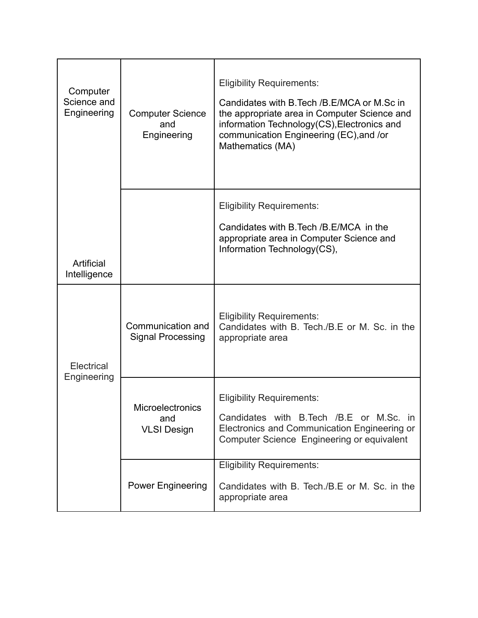| Computer<br>Science and<br>Engineering | <b>Computer Science</b><br>and<br>Engineering | <b>Eligibility Requirements:</b><br>Candidates with B. Tech / B. E/MCA or M. Sc in<br>the appropriate area in Computer Science and<br>information Technology(CS), Electronics and<br>communication Engineering (EC), and /or<br>Mathematics (MA) |  |  |  |
|----------------------------------------|-----------------------------------------------|--------------------------------------------------------------------------------------------------------------------------------------------------------------------------------------------------------------------------------------------------|--|--|--|
| Artificial<br>Intelligence             |                                               | <b>Eligibility Requirements:</b><br>Candidates with B. Tech / B. E/MCA in the<br>appropriate area in Computer Science and<br>Information Technology(CS),                                                                                         |  |  |  |
| Electrical<br>Engineering              | Communication and<br><b>Signal Processing</b> | <b>Eligibility Requirements:</b><br>Candidates with B. Tech./B.E or M. Sc. in the<br>appropriate area                                                                                                                                            |  |  |  |
|                                        | Microelectronics<br>and<br><b>VLSI Design</b> | <b>Eligibility Requirements:</b><br>Candidates with B.Tech /B.E or M.Sc. in<br>Electronics and Communication Engineering or<br>Computer Science Engineering or equivalent                                                                        |  |  |  |
|                                        | <b>Power Engineering</b>                      | <b>Eligibility Requirements:</b><br>Candidates with B. Tech./B.E or M. Sc. in the<br>appropriate area                                                                                                                                            |  |  |  |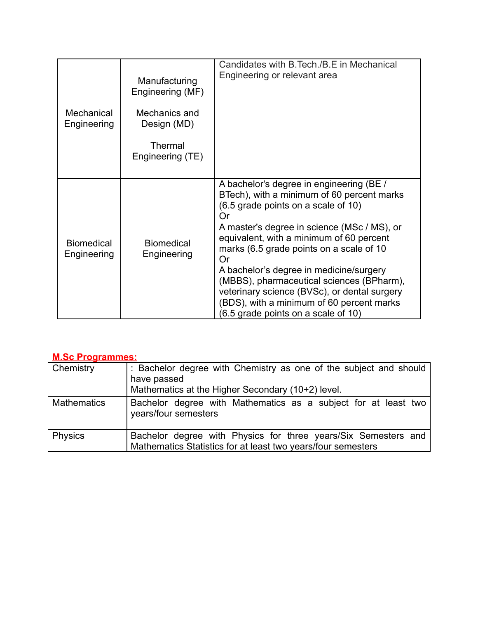| Mechanical<br>Engineering        | Manufacturing<br>Engineering (MF)<br>Mechanics and<br>Design (MD)<br><b>Thermal</b><br>Engineering (TE) | Candidates with B. Tech./B.E in Mechanical<br>Engineering or relevant area                                                                                                                                                                                                                                                                                                                                                                                                                                   |
|----------------------------------|---------------------------------------------------------------------------------------------------------|--------------------------------------------------------------------------------------------------------------------------------------------------------------------------------------------------------------------------------------------------------------------------------------------------------------------------------------------------------------------------------------------------------------------------------------------------------------------------------------------------------------|
| <b>Biomedical</b><br>Engineering | <b>Biomedical</b><br>Engineering                                                                        | A bachelor's degree in engineering (BE /<br>BTech), with a minimum of 60 percent marks<br>(6.5 grade points on a scale of 10)<br>Or<br>A master's degree in science (MSc / MS), or<br>equivalent, with a minimum of 60 percent<br>marks (6.5 grade points on a scale of 10<br>Or<br>A bachelor's degree in medicine/surgery<br>(MBBS), pharmaceutical sciences (BPharm),<br>veterinary science (BVSc), or dental surgery<br>(BDS), with a minimum of 60 percent marks<br>(6.5 grade points on a scale of 10) |

#### **M.Sc Programmes:**

| Chemistry          | : Bachelor degree with Chemistry as one of the subject and should<br>have passed<br>Mathematics at the Higher Secondary (10+2) level. |
|--------------------|---------------------------------------------------------------------------------------------------------------------------------------|
| <b>Mathematics</b> | Bachelor degree with Mathematics as a subject for at least two<br>years/four semesters                                                |
| <b>Physics</b>     | Bachelor degree with Physics for three years/Six Semesters and<br>Mathematics Statistics for at least two years/four semesters        |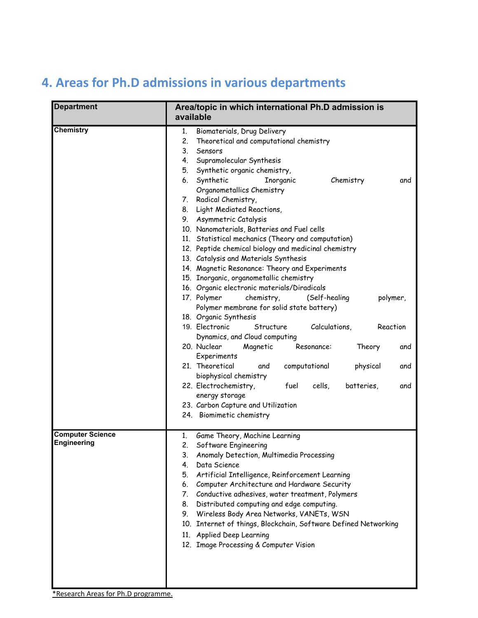#### **Department Area/topic in which international Ph.D admission is available Chemistry 1.** Biomaterials, Drug Delivery 2. Theoretical and computational chemistry 3. Sensors 4. Supramolecular Synthesis 5. Synthetic organic chemistry, 6. Synthetic Inorganic Chemistry and Organometallics Chemistry 7. Radical Chemistry, 8. Light Mediated Reactions, 9. Asymmetric Catalysis 10. Nanomaterials, Batteries and Fuel cells 11. Statistical mechanics (Theory and computation) 12. Peptide chemical biology and medicinal chemistry 13. Catalysis and Materials Synthesis 14. Magnetic Resonance: Theory and Experiments 15. Inorganic, organometallic chemistry 16. Organic electronic materials/Diradicals 17. Polymer chemistry, (Self-healing polymer, Polymer membrane for solid state battery) 18. Organic Synthesis 19. Electronic Structure Calculations, Reaction Dynamics, and Cloud computing 20. Nuclear Magnetic Resonance: Theory and Experiments 21. Theoretical and computational physical and biophysical chemistry 22. Electrochemistry, fuel cells, batteries, and energy storage 23. Carbon Capture and Utilization 24. Biomimetic chemistry **Computer Science Engineering** 1. Game Theory, Machine Learning 2. Software Engineering 3. Anomaly Detection, Multimedia Processing 4. Data Science 5. Artificial Intelligence, Reinforcement Learning 6. Computer Architecture and Hardware Security 7. Conductive adhesives, water treatment, Polymers 8. Distributed computing and edge computing. 9. Wireless Body Area Networks, VANETs, WSN 10. Internet of things, Blockchain, Software Defined Networking 11. Applied Deep Learning 12. Image Processing & Computer Vision

### **4. Areas for Ph.D admissions in various departments**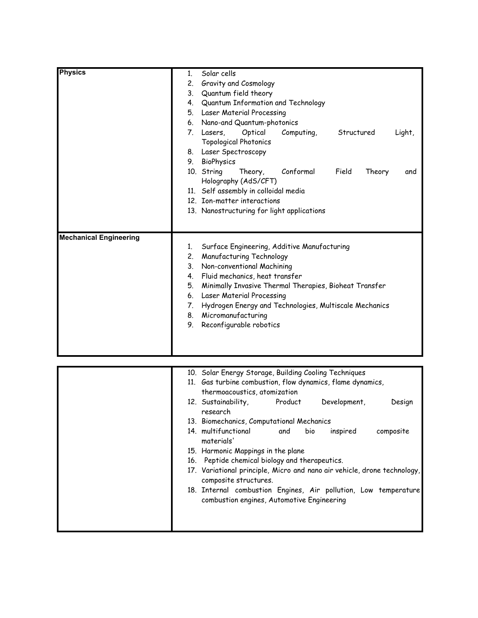| Physics                       | 1. | Solar cells                                            |            |                 |        |  |
|-------------------------------|----|--------------------------------------------------------|------------|-----------------|--------|--|
|                               | 2. | Gravity and Cosmology                                  |            |                 |        |  |
|                               | 3. | Quantum field theory                                   |            |                 |        |  |
|                               |    | 4. Quantum Information and Technology                  |            |                 |        |  |
|                               |    | 5. Laser Material Processing                           |            |                 |        |  |
|                               |    | 6. Nano-and Quantum-photonics                          |            |                 |        |  |
|                               |    | Optical<br>7. Lasers,<br><b>Topological Photonics</b>  | Computing, | Structured      | Light, |  |
|                               |    | 8. Laser Spectroscopy                                  |            |                 |        |  |
|                               | 9. | BioPhysics                                             |            |                 |        |  |
|                               |    | 10. String<br>Theory,                                  | Conformal  | Field<br>Theory | and    |  |
|                               |    | Holography (AdS/CFT)                                   |            |                 |        |  |
|                               |    | 11. Self assembly in colloidal media                   |            |                 |        |  |
|                               |    | 12. Ion-matter interactions                            |            |                 |        |  |
|                               |    | 13. Nanostructuring for light applications             |            |                 |        |  |
|                               |    |                                                        |            |                 |        |  |
|                               |    |                                                        |            |                 |        |  |
| <b>Mechanical Engineering</b> |    |                                                        |            |                 |        |  |
|                               | 1. | Surface Engineering, Additive Manufacturing            |            |                 |        |  |
|                               |    | 2. Manufacturing Technology                            |            |                 |        |  |
|                               | 3. | Non-conventional Machining                             |            |                 |        |  |
|                               |    | 4. Fluid mechanics, heat transfer                      |            |                 |        |  |
|                               | 5. | Minimally Invasive Thermal Therapies, Bioheat Transfer |            |                 |        |  |
|                               | 6. | Laser Material Processing                              |            |                 |        |  |
|                               | 7. | Hydrogen Energy and Technologies, Multiscale Mechanics |            |                 |        |  |
|                               |    | 8. Micromanufacturing                                  |            |                 |        |  |
|                               | 9. | Reconfigurable robotics                                |            |                 |        |  |
|                               |    |                                                        |            |                 |        |  |
|                               |    |                                                        |            |                 |        |  |
|                               |    |                                                        |            |                 |        |  |

| 10. Solar Energy Storage, Building Cooling Techniques                                                         |         |      |              |           |
|---------------------------------------------------------------------------------------------------------------|---------|------|--------------|-----------|
| 11. Gas turbine combustion, flow dynamics, flame dynamics,                                                    |         |      |              |           |
| thermoacoustics, atomization                                                                                  |         |      |              |           |
| 12. Sustainability,<br>research                                                                               | Product |      | Development, | Design    |
| 13. Biomechanics, Computational Mechanics                                                                     |         |      |              |           |
| 14. multifunctional and<br>materials'                                                                         |         | bio. | inspired     | composite |
| 15. Harmonic Mappings in the plane                                                                            |         |      |              |           |
| 16. Peptide chemical biology and therapeutics.                                                                |         |      |              |           |
| 17. Variational principle, Micro and nano air vehicle, drone technology,<br>composite structures.             |         |      |              |           |
| 18. Internal combustion Engines, Air pollution, Low temperature<br>combustion engines, Automotive Engineering |         |      |              |           |
|                                                                                                               |         |      |              |           |
|                                                                                                               |         |      |              |           |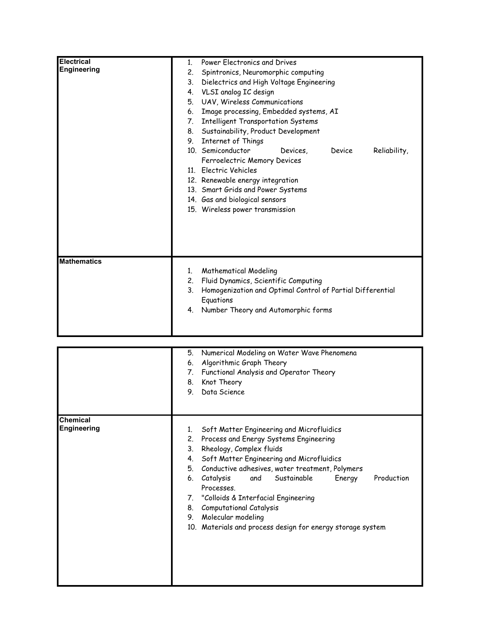| <b>Electrical</b><br><b>Engineering</b> | Power Electronics and Drives<br>$1_{-}$<br>2.<br>Spintronics, Neuromorphic computing<br>3.<br>Dielectrics and High Voltage Engineering<br>VLSI analog IC design<br>4.<br>UAV, Wireless Communications<br>5.<br>Image processing, Embedded systems, AI<br>6.           |  |  |  |
|-----------------------------------------|-----------------------------------------------------------------------------------------------------------------------------------------------------------------------------------------------------------------------------------------------------------------------|--|--|--|
|                                         | <b>Intelligent Transportation Systems</b><br>7.<br>Sustainability, Product Development<br>8.<br>Internet of Things<br>9.                                                                                                                                              |  |  |  |
|                                         | 10. Semiconductor<br>Reliability,<br><b>Device</b><br>Devices,<br>Ferroelectric Memory Devices<br>11. Electric Vehicles<br>12. Renewable energy integration<br>13. Smart Grids and Power Systems<br>14. Gas and biological sensors<br>15. Wireless power transmission |  |  |  |
| <b>Mathematics</b>                      | <b>Mathematical Modeling</b><br>1 <sub>1</sub><br>Fluid Dynamics, Scientific Computing<br>2.<br>3.<br>Homogenization and Optimal Control of Partial Differential<br>Equations<br>Number Theory and Automorphic forms<br>4.                                            |  |  |  |

|                                       | Numerical Modeling on Water Wave Phenomena<br>5.<br>Algorithmic Graph Theory<br>6.<br>Functional Analysis and Operator Theory<br>7.<br>Knot Theory<br>8.<br>9.<br>Data Science                                                                                                                                                                                                                                                                                                                 |
|---------------------------------------|------------------------------------------------------------------------------------------------------------------------------------------------------------------------------------------------------------------------------------------------------------------------------------------------------------------------------------------------------------------------------------------------------------------------------------------------------------------------------------------------|
| <b>Chemical</b><br><b>Engineering</b> | Soft Matter Engineering and Microfluidics<br>1.<br>Process and Energy Systems Engineering<br>2.<br>Rheology, Complex fluids<br>3.<br>Soft Matter Engineering and Microfluidics<br>4.<br>Conductive adhesives, water treatment, Polymers<br>5.<br>Catalysis<br>and Sustainable<br>Production<br>Energy<br>6.<br>Processes.<br>7. "Colloids & Interfacial Engineering<br>Computational Catalysis<br>8.<br>Molecular modeling<br>9.<br>10. Materials and process design for energy storage system |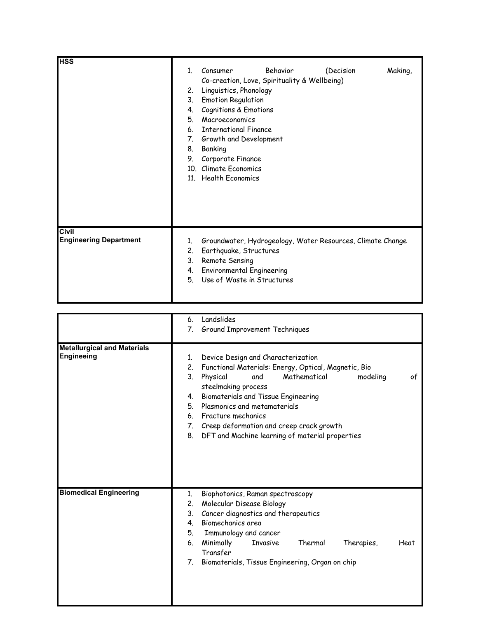| <b>HSS</b>                    |             |                                              |          |                                                            |         |
|-------------------------------|-------------|----------------------------------------------|----------|------------------------------------------------------------|---------|
|                               | $1_{\cdot}$ | Consumer                                     | Behavior | (Decision                                                  | Making, |
|                               |             | Co-creation, Love, Spirituality & Wellbeing) |          |                                                            |         |
|                               | 2.          | Linguistics, Phonology                       |          |                                                            |         |
|                               | 3.          | <b>Emotion Regulation</b>                    |          |                                                            |         |
|                               | 4.          | Cognitions & Emotions                        |          |                                                            |         |
|                               | 5.          | Macroeconomics                               |          |                                                            |         |
|                               | 6.          | <b>International Finance</b>                 |          |                                                            |         |
|                               | 7.          | Growth and Development                       |          |                                                            |         |
|                               | 8.          | Banking                                      |          |                                                            |         |
|                               | 9.          | Corporate Finance                            |          |                                                            |         |
|                               |             | 10. Climate Economics                        |          |                                                            |         |
|                               |             | 11. Health Economics                         |          |                                                            |         |
|                               |             |                                              |          |                                                            |         |
|                               |             |                                              |          |                                                            |         |
|                               |             |                                              |          |                                                            |         |
|                               |             |                                              |          |                                                            |         |
|                               |             |                                              |          |                                                            |         |
| <b>Civil</b>                  |             |                                              |          |                                                            |         |
| <b>Engineering Department</b> | 1.          |                                              |          | Groundwater, Hydrogeology, Water Resources, Climate Change |         |
|                               | 2.          | Earthquake, Structures                       |          |                                                            |         |
|                               | 3.          | Remote Sensing                               |          |                                                            |         |
|                               | 4.          | <b>Environmental Engineering</b>             |          |                                                            |         |
|                               | 5.          | Use of Waste in Structures                   |          |                                                            |         |
|                               |             |                                              |          |                                                            |         |

|                                                         | Landslides<br>6.                                                                                                                                                                                                                                                                                                                                                                                                |
|---------------------------------------------------------|-----------------------------------------------------------------------------------------------------------------------------------------------------------------------------------------------------------------------------------------------------------------------------------------------------------------------------------------------------------------------------------------------------------------|
|                                                         | Ground Improvement Techniques<br>7.                                                                                                                                                                                                                                                                                                                                                                             |
| <b>Metallurgical and Materials</b><br><b>Engineeing</b> | Device Design and Characterization<br>1.<br>Functional Materials: Energy, Optical, Magnetic, Bio<br>2.<br>3.<br>Mathematical<br>Physical<br>and<br>modeling<br>оf<br>steelmaking process<br>Biomaterials and Tissue Engineering<br>4.<br>Plasmonics and metamaterials<br>5.<br>Fracture mechanics<br>6.<br>7. Creep deformation and creep crack growth<br>DFT and Machine learning of material properties<br>8. |
| <b>Biomedical Engineering</b>                           | Biophotonics, Raman spectroscopy<br>1.<br>Molecular Disease Biology<br>2.<br>Cancer diagnostics and therapeutics<br>3.<br>Biomechanics area<br>4.<br>Immunology and cancer<br>5.<br>Minimally<br>Thermal<br>Therapies,<br>6.<br>Invasive<br>Heat<br>Transfer<br>Biomaterials, Tissue Engineering, Organ on chip<br>7.                                                                                           |